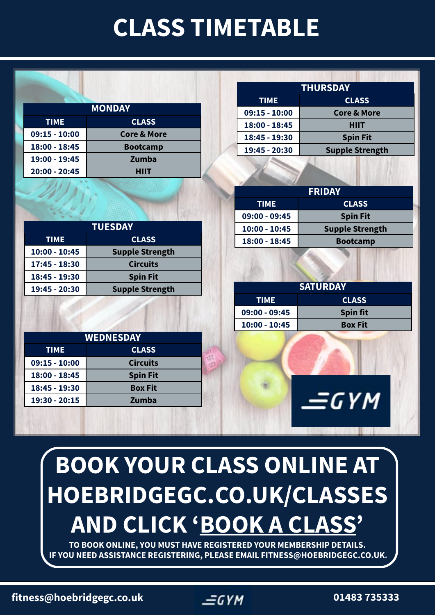## **CLASS TIMETABLE**

| <b>MONDAY</b>   |                        |  |
|-----------------|------------------------|--|
| <b>TIME</b>     | <b>CLASS</b>           |  |
| $09:15 - 10:00$ | <b>Core &amp; More</b> |  |
| 18:00 - 18:45   | <b>Bootcamp</b>        |  |
| 19:00 - 19:45   | Zumba                  |  |
| 20:00 - 20:45   | HIIT                   |  |
|                 |                        |  |

**TIME CLASS 10:00 - 10:45 Supple Strength 17:45 - 18:30 Circuits 18:45 - 19:30 Spin Fit**

**TUESDAY**

**19:45 - 20:30 Supple Strength**

| <b>THURSDAY</b> |                        |  |
|-----------------|------------------------|--|
| <b>TIME</b>     | <b>CLASS</b>           |  |
| $09:15 - 10:00$ | <b>Core &amp; More</b> |  |
| 18:00 - 18:45   | HIIT                   |  |
| 18:45 - 19:30   | <b>Spin Fit</b>        |  |
| 19:45 - 20:30   | <b>Supple Strength</b> |  |
|                 |                        |  |

| <b>FRIDAY</b>   |                        |  |
|-----------------|------------------------|--|
| <b>TIME</b>     | <b>CLASS</b>           |  |
| $09:00 - 09:45$ | <b>Spin Fit</b>        |  |
| $10:00 - 10:45$ | <b>Supple Strength</b> |  |
| $18:00 - 18:45$ | <b>Bootcamp</b>        |  |

| <b>SATURDAY</b> |                 |  |
|-----------------|-----------------|--|
| <b>TIME</b>     | <b>CLASS</b>    |  |
| $09:00 - 09:45$ | <b>Spin fit</b> |  |
| $10:00 - 10:45$ | <b>Box Fit</b>  |  |

 $\equiv$ GYM

| <b>WEDNESDAY</b> |                 |  |
|------------------|-----------------|--|
| <b>TIME</b>      | <b>CLASS</b>    |  |
| $09:15 - 10:00$  | <b>Circuits</b> |  |
| 18:00 - 18:45    | <b>Spin Fit</b> |  |
| 18:45 - 19:30    | <b>Box Fit</b>  |  |
| 19:30 - 20:15    | Zumba           |  |

# **BOOK YOUR CLASS ONLINE AT HOEBRIDGEGC.CO.UK/CLASSES AND CLICK ['BOOK A CLASS](https://www.e-s-p.com/elitelive/?clubid=1609&)'**

**TO BOOK ONLINE, YOU MUST HAVE REGISTERED YOUR MEMBERSHIP DETAILS. IF YOU NEED ASSISTANCE REGISTERING, PLEASE EMAIL [FITNESS@HOEBRIDGEGC.CO.UK.](mailto:FITNESS%40HOEBRIDGEGC.CO.UK?subject=Online%20Registration%20to%20Book%20Classes)**